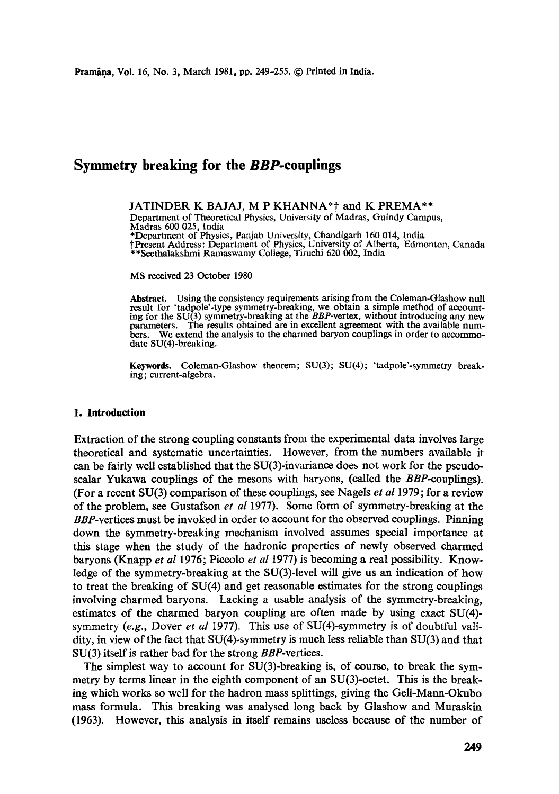# **Symmetry breaking for the** *BBP-couplings*

JATINDER K BAJAJ, M P KHANNA\*<sup>\*</sup> and K PREMA\*\* Department of Theoretical Physics, University of Madras, Guindy Campus, Madras 600 025, India \*Department of Physics, Panjab University, Chandigarh 160 014, India tPresent Address: Department of Physics, University of Alberta, Edmonton, Canada \*\*Seethalakshmi Ramaswamy College, Tiruchi 620 002, India

MS received 23 October 1980

Abstract. Using the consistency requirements arising from the Coleman-Glashow null result for 'tadpole'-type symmetry-breaking, we obtain a simple method of account-ing for the SU(3) symmetry-breaking at the *BBP-vertex,* without introducing any new parameters. The results obtained are in excellent agreement with the available numbers. We extend the analysis to the charmed baryon couplings in order to accommodate SU(4)-breaking.

**Keywords.** Coleman-Glashow theorem; SU(3); SU(4); 'tadpole'-symmetry breaking; current-algebra.

#### **1. Introduction**

Extraction of the strong coupling constants from the experimental data involves large theoretical and systematic uncertainties. However, from the numbers available it can be fairly well established that the  $SU(3)$ -invariance does not work for the pseudoscalar Yukawa couplings of the mesons with baryons, (called the *BBP-couplings).*  (For a recent SU(3) comparison of these couplings, see Nagels *et al* 1979; for a review of the problem, see Gustafson *et al* 1977). Some form of symmetry-breaking at the *BBP-vertices* must be invoked in order to account for the observed couplings. Pinning down the symmetry-breaking mechanism involved assumes special importance at this stage when the study of the hadronic properties of newly observed charmed baryons (Knapp *et al* 1976; Piccolo *et al* 1977) is becoming a real possibility. Knowledge of the symmetry-breaking at the SU(3)-level will give us an indication of how to treat the breaking of SU(4) and get reasonable estimates for the strong couplings involving charmed baryons. Lacking a usable analysis of the symmetry-breaking, estimates of the charmed baryon coupling are often made by using exact SU(4) symmetry *(e.g.,* Dover *et al* I977). This use of SU(4)-symmetry is of doubtful validity, in view of the fact that SU(4)-symmetry is much less reliable than SU(3) and that SU(3) itself is rather bad for the strong *BBP-vertices.* 

The simplest way to account for  $SU(3)$ -breaking is, of course, to break the symmetry by terms linear in the eighth component of an SU(3)-octet. This is the breaking which works so well for the hadron mass splittings, giving the Gell-Mann-Okubo mass formula. This breaking was analysed long back by Glashow and Muraskin (1963). However, this analysis in itself remains useless because of the number of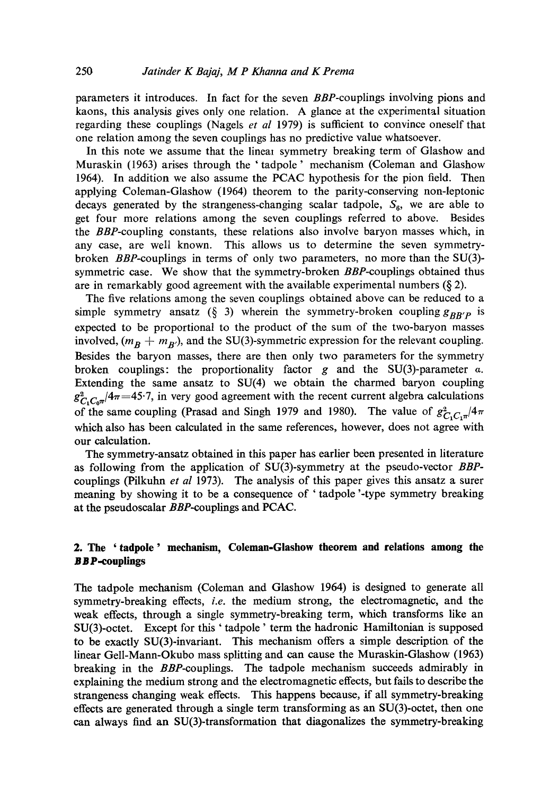parameters it introduces. In fact for the seven *BBP-couplings* involving pions and kaons, this analysis gives only one relation. A glance at the experimental situation regarding these couplings (Nagels *et al* 1979) is sufficient to convince oneself that one relation among the seven couplings has no predictive value whatsoever.

In this note we assume that the linear symmetry breaking term of Glashow and Muraskin (1963) arises through the 'tadpole' mechanism (Coleman and Glashow 1964). In addition we also assume the PCAC hypothesis for the pion field. Then applying Coleman-Glashow (1964) theorem to the parity-conserving non-leptonic decays generated by the strangeness-changing scalar tadpole,  $S_6$ , we are able to get four more relations among the seven couplings referred to above. Besides the *BBP-coupling* constants, these relations also involve baryon masses which, in any case, are well known. This allows us to determine the seven symmetrybroken *BBP-couplings* in terms of only two parameters, no more than the SU(3) symmetric case. We show that the symmetry-broken *BBP-couplings* obtained thus are in remarkably good agreement with the available experimental numbers  $(\xi 2)$ .

The five relations among the seven couplings obtained above can be reduced to a simple symmetry ansatz (§ 3) wherein the symmetry-broken coupling  $g_{BB'P}$  is expected to be proportional to the product of the sum of the two-baryon masses involved,  $(m_B + m_{B})$ , and the SU(3)-symmetric expression for the relevant coupling. Besides the baryon masses, there are then only two parameters for the symmetry broken couplings: the proportionality factor g and the SU(3)-parameter  $\alpha$ . Extending the same ansatz to SU(4) we obtain the charmed baryon coupling  $g_{C, C, \pi}^2/4\pi = 45.7$ , in very good agreement with the recent current algebra calculations of the same coupling (Prasad and Singh 1979 and 1980). The value of  $g_{C,C,\pi}^2/4\pi$ which also has been calculated in the same references, however, does not agree with our calculation.

The symmetry-ansatz obtained in this paper has earlier been presented in literature as following from the application of SU(3)-symmetry at the pseudo-vector *BBP*couplings (Pilkuhn *et al* 1973). The analysis of this paper gives this ansatz a surer meaning by showing it to be a consequence of ' tadpole '-type symmetry breaking at the pseudoscalar *BBP-coupfings* and PCAC.

## **2. The 'tadpole' mechanism, Coleman-Glashow theorem and relations among the B B P-couplings**

The tadpole mechanism (Coleman and Glashow 1964) is designed to generate all symmetry-breaking effects, *i.e.* the medium strong, the electromagnetic, and the weak effects, through a single symmetry-breaking term, which transforms like an SU(3)-octet. Except for this ' tadpole' term the hadronic Hamiltonian is supposed to be exactly SU(3)-invariant. This mechanism offers a simple description of **the**  linear Gell-Mann-Okubo mass splitting and can cause the Muraskin-Glashow (1963) breaking in the *BBP-couplings.* The tadpole mechanism succeeds admirably in explaining the medium strong and the electromagnetic effects, but fails to describe **the**  strangeness changing weak effects. This happens because, if all symmetry-breaking effects are generated through a single term transforming as an SU(3)-octet, then one can always find an SU(3)-transformation that diagonalizes the symmetry-breaking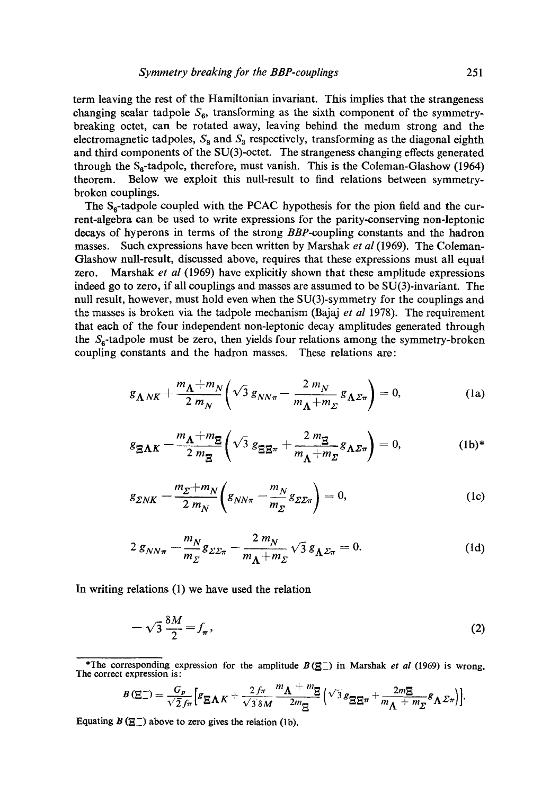term leaving the rest of the Hamiltonian invariant. This implies that the strangeness changing scalar tadpole  $S_6$ , transforming as the sixth component of the symmetrybreaking octet, can be rotated away, leaving behind the medum strong and the electromagnetic tadpoles,  $S_8$  and  $S_3$  respectively, transforming as the diagonal eighth and third components of the SU(3)-octet. The strangeness changing effects generated through the  $S_6$ -tadpole, therefore, must vanish. This is the Coleman-Glashow (1964) theorem. Below we exploit this null-result to find relations between symmetrybroken couplings.

The  $S_6$ -tadpole coupled with the PCAC hypothesis for the pion field and the current-algebra can be used to write expressions for the parity-conserving non-leptonic decays of hyperons in terms of the strong *BBP-coupling* constants and the hadron masses. Such expressions have been written by Marshak *et al* (1969). The Coleman-Glashow null-result, discussed above, requires that these expressions must all equal zero. Marshak *et al* (1969) have explicitly shown that these amplitude expressions indeed go to zero, if all couplings and masses are assumed to be SU(3)-invariant. The null result, however, must hold even when the SU(3)-symmetry for the couplings and the masses is broken via the tadpole mechanism (Bajaj *et al* 1978). The requirement that each of the four independent non-leptonic decay amplitudes generated through the  $S_{\rm g}$ -tadpole must be zero, then yields four relations among the symmetry-broken coupling constants and the hadron masses. These relations are:

$$
g_{\Lambda N K} + \frac{m_{\Lambda} + m_N}{2 m_N} \left( \sqrt{3} g_{N N \pi} - \frac{2 m_N}{m_{\Lambda} + m_{\Sigma}} g_{\Lambda \Sigma \pi} \right) = 0, \tag{1a}
$$

$$
g_{\mathbf{\underline{S}}\Lambda K} - \frac{m_{\Lambda} + m_{\mathbf{\underline{S}}}}{2 m_{\mathbf{\underline{S}}}} \left( \sqrt{3} \ g_{\mathbf{\underline{S}}\mathbf{\underline{S}}\pi} + \frac{2 m_{\mathbf{\underline{S}}}}{m_{\Lambda} + m_{\Sigma}} g_{\Lambda \Sigma \pi} \right) = 0, \tag{1b)*}
$$

$$
g_{\Sigma N K} - \frac{m_{\Sigma} + m_N}{2 m_N} \left( g_{N N \pi} - \frac{m_N}{m_{\Sigma}} g_{\Sigma \Sigma \pi} \right) = 0, \tag{1c}
$$

$$
2 g_{NN\pi} - \frac{m_N}{m_\Sigma} g_{\Sigma \Sigma \pi} - \frac{2 m_N}{m_\Lambda + m_\Sigma} \sqrt{3} g_{\Lambda \Sigma \pi} = 0. \tag{1d}
$$

In writing relations (1) we have used the relation

$$
-\sqrt{3}\frac{\delta M}{2} = f_{\pi},\tag{2}
$$

$$
B(\Xi^-) = \frac{G_p}{\sqrt{2} f_\pi} \Big[ g_{\Xi \Lambda K} + \frac{2 f_\pi}{\sqrt{3} \delta M} \frac{m_{\Lambda} + m_{\Xi}}{2 m_{\Xi}} \Big( \sqrt{3} g_{\Xi \Xi \pi} + \frac{2 m_{\Xi}}{m_{\Lambda} + m_{\Sigma}} g_{\Lambda \Sigma \pi} \Big) \Big].
$$

Equating  $B \left( \underline{\mathbb{S}} \underline{\top} \right)$  above to zero gives the relation (1b).

<sup>\*</sup>The corresponding expression for the amplitude  $B(\underline{\mathbb{Z}})$  in Marshak *et al* (1969) is wrong. The correct expression is: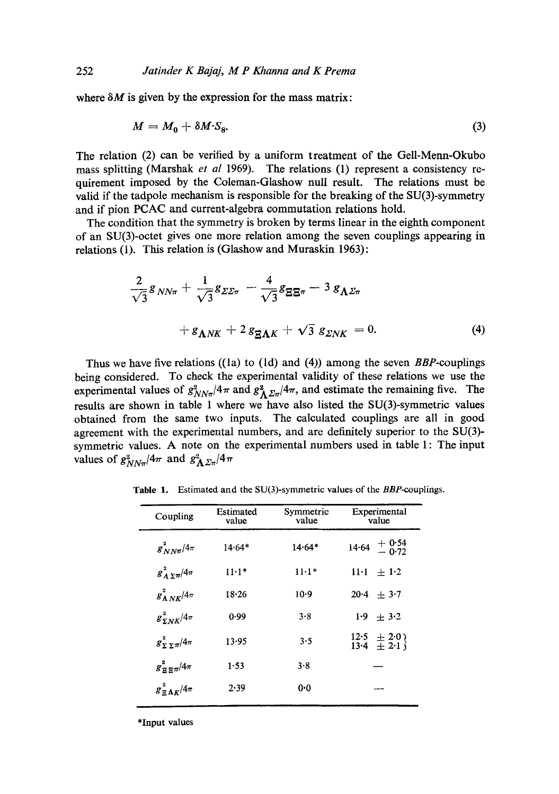where  $\delta M$  is given by the expression for the mass matrix:

$$
M = M_0 + \delta M \cdot S_8. \tag{3}
$$

The relation (2) can be verified by a uniform treatment of the Gell-Menn-Okubo mass splitting (Marshak *et al* 1969). The relations (1) represent a consistency requirement imposed by the Coleman-Glashow null result. The relations must be valid if the tadpole mechanism is responsible for the breaking of the SU(3)-symmetry and if pion PCAC and current-algebra commutation relations hold.

The condition that the symmetry is broken by terms linear in the eighth component of an SU(3)-octet gives one more relation among the seven couplings appearing in relations (1). This relation is (Glashow and Muraskin 1963):

$$
\frac{2}{\sqrt{3}}g_{NN\pi} + \frac{1}{\sqrt{3}}g_{\Sigma\Sigma\pi} - \frac{4}{\sqrt{3}}g_{\Xi\Xi\pi} - 3g_{\Lambda\Sigma\pi}
$$

$$
+ g_{\Lambda N K} + 2g_{\Xi\Lambda K} + \sqrt{3}g_{\Sigma N K} = 0. \tag{4}
$$

Thus we have five relations ((Is) to (ld) and (4)) among the seven *BBP-couplings*  being considered. To check the experimental validity of these relations we use the experimental values of  $g_{NN\pi}^2/4\pi$  and  $g_{\Lambda\Sigma\pi}^2/4\pi$ , and estimate the remaining five. The results are shown in table 1 where we have also listed the SU(3)-symmetric values obtained from the same two inputs. The calculated couplings are all in good agreement with the experimental numbers, and are definitely superior to the SU(3) symmetric values. A note on the experimental numbers used in table 1: The input values of  $g_{NN\pi}^2/4\pi$  and  $g_{\Lambda\Sigma\pi}^2/4\pi$ 

| Coupling                        | Estimated<br>value | Symmetric<br>value | Experimental<br>value                                               |
|---------------------------------|--------------------|--------------------|---------------------------------------------------------------------|
| $g_{NN\pi}^2/4\pi$              | $14.64*$           | $14.64*$           | $14.64 + 0.54$<br>$- 0.72$                                          |
| $g_A^2 \frac{1}{2\pi}$ /4 $\pi$ | $11 - 1*$          | $11.1*$            | $11 \cdot 1 + 1 \cdot 2$                                            |
| $g_{\Lambda N K}^2/4\pi$        | 18.26              | $10-9$             | $20.4 + 3.7$                                                        |
| $g_{\Sigma N K}^2/4\pi$         | 0.99               | 3.8                | $1.9 \pm 3.2$                                                       |
| $g_{\Sigma \Sigma \pi}^2/4\pi$  | 13.95              | 3.5                | $\begin{array}{c} 12.5 \\ 13.4 \end{array} \pm 2.0 \\ 13.4 \pm 2.1$ |
| $g_{\Xi\Xi\pi}^2/4\pi$          | 1.53               | 3.8                |                                                                     |
| $g_{\Xi\Lambda K}^2/4\pi$       | 2.39               | 0-0                |                                                                     |
|                                 |                    |                    |                                                                     |

Table 1. Estimated and the SU(3)-symmetric values of the *BBP-couplings.* 

**\*Input values**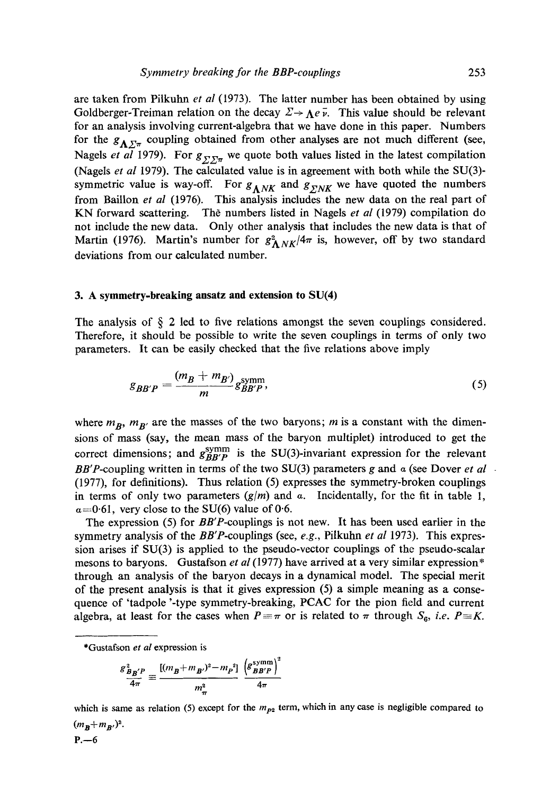are taken from Pilkuhn *et al* (1973). The latter number has been obtained by using Goldberger-Treiman relation on the decay  $\Sigma \rightarrow \Lambda e \bar{\nu}$ . This value should be relevant for an analysis involving current-algebra that we have done in this paper. Numbers for the  $g_{\Lambda\Sigma_{\pi}}$  coupling obtained from other analyses are not much different (see, Nagels *et al* 1979). For  $g_{\Sigma \Sigma \pi}$  we quote both values listed in the latest compilation (Nagels *et al* 1979). The calculated value is in agreement with both while the SU(3) symmetric value is way-off. For  $g_{\Lambda N K}$  and  $g_{\Sigma N K}$  we have quoted the numbers from Baillon *et al* (1976). This analysis includes the new data on the real part of KN forward scattering. The numbers listed in Nagels *et al* (1979) compilation do not include the new data. Only other analysis that includes the new data is that of Martin (1976). Martin's number for  $g_{\Lambda N K}^2/4\pi$  is, however, off by two standard deviations from our calculated number.

#### **3. A symmetry-breaking ansatz and extension to SU(4)**

The analysis of  $\S$  2 led to five relations amongst the seven couplings considered. Therefore, it should be possible to write the seven couplings in terms of only two parameters. It can be easily checked that the five relations above imply

$$
g_{BB'P} = \frac{(m_B + m_{B'})}{m} g_{BB'P}^{\text{symm}},\tag{5}
$$

where  $m_B$ ,  $m_{B'}$  are the masses of the two baryons; m is a constant with the dimensions of mass (say, the mean mass of the baryon multiplet) introduced to get the correct dimensions; and  $g_{BB'P}^{\text{symm}}$  is the SU(3)-invariant expression for the relevant *BB'P*-coupling written in terms of the two SU(3) parameters g and  $\alpha$  (see Dover *et al*  $\alpha$ (1977), for definitions). Thus relation (5) expresses the symmetry-broken couplings in terms of only two parameters  $(g/m)$  and a. Incidentally, for the fit in table 1,  $\alpha$ =0.61, very close to the SU(6) value of 0.6.

The expression (5) for *BB'P-couplings* is not new. It has been used earlier in the symmetry analysis of the *BB'P-couplings* (see, *e.g.,* Pilkuhn *et al* 1973). This expression arises if SU(3) is applied to the pseudo-vector couplings of the pseudo-scalar mesons to baryons. Gustafson *et al* (1977) have arrived at a very similar expression\* through an analysis of the baryon decays in a dynamical model. The special merit of the present analysis is that it gives expression (5) a simple meaning as a consequence of 'tadpole '-type symmetry-breaking, PCAC for the pion field and current algebra, at least for the cases when  $P = \pi$  or is related to  $\pi$  through  $S_6$ , *i.e.*  $P = K$ .

$$
\frac{g_{B_{B}^{'P}}^2}{4\pi} \equiv \frac{[(m_B + m_{B'})^2 - m_P^2]}{m_{\pi}^2} \frac{\left(g_{B_{B}^{'P}}^{\text{symm}}\right)^2}{4\pi}
$$

which is same as relation (5) except for the  $m_{p2}$  term, which in any case is negligible compared to  $(m_{\rm R}+m_{\rm R'})^2$ .

 $P. -6$ 

<sup>\*</sup>Gustafson *et al* expression is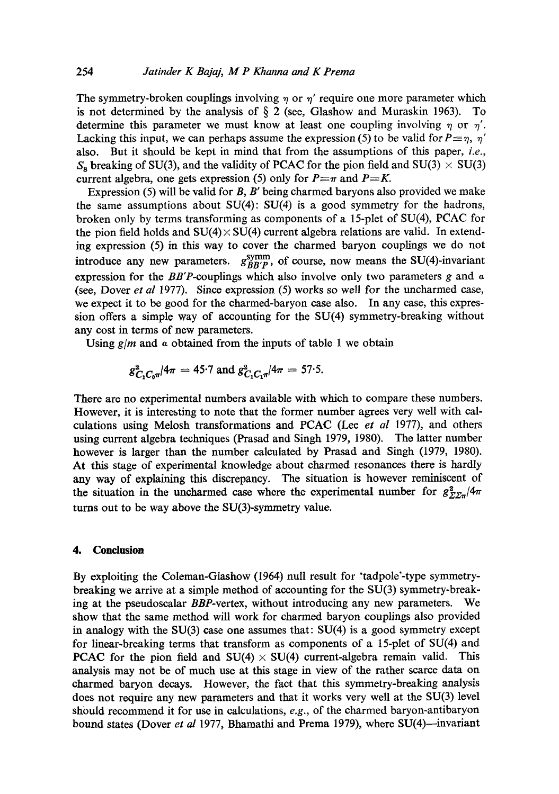The symmetry-broken couplings involving  $\eta$  or  $\eta'$  require one more parameter which is not determined by the analysis of  $\S$  2 (see, Glashow and Muraskin 1963). To determine this parameter we must know at least one coupling involving  $\eta$  or  $\eta'$ . Lacking this input, we can perhaps assume the expression (5) to be valid for  $P=\eta$ ,  $\eta'$ also. But it should be kept in mind that from the assumptions of this paper, *i.e.,*   $S_8$  breaking of SU(3), and the validity of PCAC for the pion field and SU(3)  $\times$  SU(3) current algebra, one gets expression (5) only for  $P \equiv \pi$  and  $P \equiv K$ .

Expression (5) will be valid for  $B$ ,  $B'$  being charmed baryons also provided we make the same assumptions about  $SU(4)$ :  $SU(4)$  is a good symmetry for the hadrons, broken only by terms transforming as components of a 15-plet of SU(4), PCAC for the pion field holds and  $SU(4) \times SU(4)$  current algebra relations are valid. In extending expression (5) in this way to cover the charmed baryon couplings we do not introduce any new parameters.  $g_{BB'}^{symm}$ , of course, now means the SU(4)-invariant expression for the *BB'P-couplings* which also involve only two parameters g and a (see, Dover *et al* 1977). Since expression (5) works so well for the uneharmed ease, we expect it to be good for the charmed-baryon ease also. In any case, this expression offers a simple way of accounting for the SU(4) symmetry-breaking without any cost in terms of new parameters.

Using  $g/m$  and a obtained from the inputs of table 1 we obtain

$$
g_{C,C,\pi}^2/4\pi = 45.7
$$
 and  $g_{C,C,\pi}^2/4\pi = 57.5$ .

There are no experimental numbers available with which to compare these numbers. However, it is interesting to note that the former number agrees very well with calculations using Melosh transformations and PCAC (Lee *et al* 1977), and others using current algebra techniques (Prasad and Singh 1979, 1980). The latter number however is larger than the number calculated by Prasad and Singh (1979, 1980). At this stage of experimental knowledge about charmed resonances there is hardly any way of explaining this discrepancy. The situation is however reminiscent of the situation in the uncharmed case where the experimental number for  $g_{\Sigma\Sigma\pi}^2/4\pi$ turns out to be way above the SU(3)-symmetry value.

### **4. Conclusion**

By exploiting the Coleman-Glashow (1964) null result for "tadpole'-type symmetrybreaking we arrive at a simple method of accounting for the SU(3) symmetry-breaking at the pseudoscalar *BBP-vertex,* without introducing any new parameters. We show that the same method will work for charmed baryon couplings also provided in analogy with the SU(3) case one assumes that: SU(4) is a good symmetry except for linear-breaking terms that transform as components of a 15-plet of SU(4) and **PCAC** for the pion field and  $SU(4) \times SU(4)$  current-algebra remain valid. This analysis may not be of much use at this stage in view of the rather scarce data on charmed baryon decays. However, the fact that this symmetry-breaking analysis does not require any new parameters and that it works very well at the SU(3) level should recommend it for use in calculations, *e.g.,* of the charmed baryon-antibaryon bound states (Dover *et al* 1977, Bhamathi and Prema 1979), where SU(4)--invariant